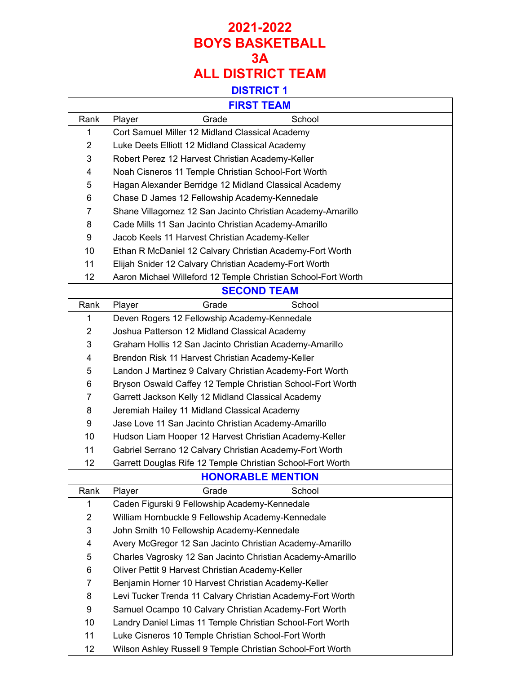| <b>FIRST TEAM</b>        |                                                               |  |  |
|--------------------------|---------------------------------------------------------------|--|--|
| Rank                     | Grade<br>School<br>Player                                     |  |  |
| 1                        | Cort Samuel Miller 12 Midland Classical Academy               |  |  |
| $\overline{2}$           | Luke Deets Elliott 12 Midland Classical Academy               |  |  |
| 3                        | Robert Perez 12 Harvest Christian Academy-Keller              |  |  |
| 4                        | Noah Cisneros 11 Temple Christian School-Fort Worth           |  |  |
| 5                        | Hagan Alexander Berridge 12 Midland Classical Academy         |  |  |
| 6                        | Chase D James 12 Fellowship Academy-Kennedale                 |  |  |
| $\overline{7}$           | Shane Villagomez 12 San Jacinto Christian Academy-Amarillo    |  |  |
| 8                        | Cade Mills 11 San Jacinto Christian Academy-Amarillo          |  |  |
| 9                        | Jacob Keels 11 Harvest Christian Academy-Keller               |  |  |
| 10                       | Ethan R McDaniel 12 Calvary Christian Academy-Fort Worth      |  |  |
| 11                       | Elijah Snider 12 Calvary Christian Academy-Fort Worth         |  |  |
| 12                       | Aaron Michael Willeford 12 Temple Christian School-Fort Worth |  |  |
| <b>SECOND TEAM</b>       |                                                               |  |  |
| Rank                     | Grade<br>School<br>Player                                     |  |  |
| 1                        | Deven Rogers 12 Fellowship Academy-Kennedale                  |  |  |
| $\overline{2}$           | Joshua Patterson 12 Midland Classical Academy                 |  |  |
| 3                        | Graham Hollis 12 San Jacinto Christian Academy-Amarillo       |  |  |
| 4                        | Brendon Risk 11 Harvest Christian Academy-Keller              |  |  |
| 5                        | Landon J Martinez 9 Calvary Christian Academy-Fort Worth      |  |  |
| 6                        | Bryson Oswald Caffey 12 Temple Christian School-Fort Worth    |  |  |
| $\overline{7}$           | Garrett Jackson Kelly 12 Midland Classical Academy            |  |  |
| 8                        | Jeremiah Hailey 11 Midland Classical Academy                  |  |  |
| 9                        | Jase Love 11 San Jacinto Christian Academy-Amarillo           |  |  |
| 10                       | Hudson Liam Hooper 12 Harvest Christian Academy-Keller        |  |  |
| 11                       | Gabriel Serrano 12 Calvary Christian Academy-Fort Worth       |  |  |
| 12                       | Garrett Douglas Rife 12 Temple Christian School-Fort Worth    |  |  |
| <b>HONORABLE MENTION</b> |                                                               |  |  |
| Rank                     | School<br>Grade<br>Player                                     |  |  |
| 1                        | Caden Figurski 9 Fellowship Academy-Kennedale                 |  |  |
| $\overline{2}$           | William Hornbuckle 9 Fellowship Academy-Kennedale             |  |  |
| 3                        | John Smith 10 Fellowship Academy-Kennedale                    |  |  |
| 4                        | Avery McGregor 12 San Jacinto Christian Academy-Amarillo      |  |  |
| 5                        | Charles Vagrosky 12 San Jacinto Christian Academy-Amarillo    |  |  |
| 6                        | Oliver Pettit 9 Harvest Christian Academy-Keller              |  |  |
| $\overline{7}$           | Benjamin Horner 10 Harvest Christian Academy-Keller           |  |  |
| 8                        | Levi Tucker Trenda 11 Calvary Christian Academy-Fort Worth    |  |  |
| 9                        | Samuel Ocampo 10 Calvary Christian Academy-Fort Worth         |  |  |
| 10                       | Landry Daniel Limas 11 Temple Christian School-Fort Worth     |  |  |
| 11                       | Luke Cisneros 10 Temple Christian School-Fort Worth           |  |  |
| 12                       | Wilson Ashley Russell 9 Temple Christian School-Fort Worth    |  |  |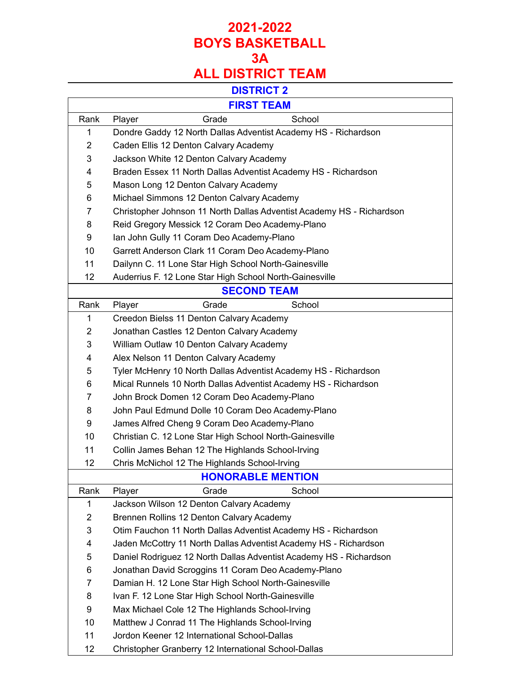#### **DISTRICT 2**

| v.<br>. . |
|-----------|
|-----------|

Г

Ē,

| FIRSI IEAM               |                                                                       |  |  |
|--------------------------|-----------------------------------------------------------------------|--|--|
| Rank                     | Grade<br>School<br>Player                                             |  |  |
| 1                        | Dondre Gaddy 12 North Dallas Adventist Academy HS - Richardson        |  |  |
| $\overline{2}$           | Caden Ellis 12 Denton Calvary Academy                                 |  |  |
| 3                        | Jackson White 12 Denton Calvary Academy                               |  |  |
| 4                        | Braden Essex 11 North Dallas Adventist Academy HS - Richardson        |  |  |
| 5                        | Mason Long 12 Denton Calvary Academy                                  |  |  |
| 6                        | Michael Simmons 12 Denton Calvary Academy                             |  |  |
| 7                        | Christopher Johnson 11 North Dallas Adventist Academy HS - Richardson |  |  |
| 8                        | Reid Gregory Messick 12 Coram Deo Academy-Plano                       |  |  |
| 9                        | Ian John Gully 11 Coram Deo Academy-Plano                             |  |  |
| 10                       | Garrett Anderson Clark 11 Coram Deo Academy-Plano                     |  |  |
| 11                       | Dailynn C. 11 Lone Star High School North-Gainesville                 |  |  |
| 12                       | Auderrius F. 12 Lone Star High School North-Gainesville               |  |  |
| <b>SECOND TEAM</b>       |                                                                       |  |  |
| Rank                     | Grade<br>School<br>Player                                             |  |  |
| 1                        | Creedon Bielss 11 Denton Calvary Academy                              |  |  |
| $\overline{2}$           | Jonathan Castles 12 Denton Calvary Academy                            |  |  |
| 3                        | William Outlaw 10 Denton Calvary Academy                              |  |  |
| 4                        | Alex Nelson 11 Denton Calvary Academy                                 |  |  |
| 5                        | Tyler McHenry 10 North Dallas Adventist Academy HS - Richardson       |  |  |
| 6                        | Mical Runnels 10 North Dallas Adventist Academy HS - Richardson       |  |  |
| $\overline{7}$           | John Brock Domen 12 Coram Deo Academy-Plano                           |  |  |
| 8                        | John Paul Edmund Dolle 10 Coram Deo Academy-Plano                     |  |  |
| 9                        | James Alfred Cheng 9 Coram Deo Academy-Plano                          |  |  |
| 10                       | Christian C. 12 Lone Star High School North-Gainesville               |  |  |
| 11                       | Collin James Behan 12 The Highlands School-Irving                     |  |  |
| 12                       | Chris McNichol 12 The Highlands School-Irving                         |  |  |
| <b>HONORABLE MENTION</b> |                                                                       |  |  |
| Rank                     | Grade<br>School<br>Player                                             |  |  |
| 1                        | Jackson Wilson 12 Denton Calvary Academy                              |  |  |
| $\overline{2}$           | Brennen Rollins 12 Denton Calvary Academy                             |  |  |
| 3                        | Otim Fauchon 11 North Dallas Adventist Academy HS - Richardson        |  |  |
| 4                        | Jaden McCottry 11 North Dallas Adventist Academy HS - Richardson      |  |  |
| 5                        | Daniel Rodriguez 12 North Dallas Adventist Academy HS - Richardson    |  |  |
| 6                        | Jonathan David Scroggins 11 Coram Deo Academy-Plano                   |  |  |
| 7                        | Damian H. 12 Lone Star High School North-Gainesville                  |  |  |
| 8                        | Ivan F. 12 Lone Star High School North-Gainesville                    |  |  |
| 9                        | Max Michael Cole 12 The Highlands School-Irving                       |  |  |
| 10                       | Matthew J Conrad 11 The Highlands School-Irving                       |  |  |
| 11                       | Jordon Keener 12 International School-Dallas                          |  |  |
| 12                       | Christopher Granberry 12 International School-Dallas                  |  |  |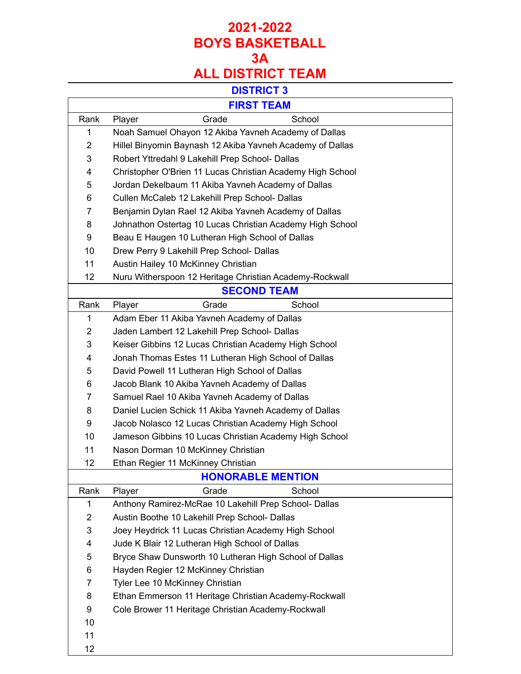## **DISTRICT 3**

|                | <b>FIRST TEAM</b>                                          |  |  |
|----------------|------------------------------------------------------------|--|--|
| Rank           | School<br>Player<br>Grade                                  |  |  |
| 1              | Noah Samuel Ohayon 12 Akiba Yavneh Academy of Dallas       |  |  |
| 2              | Hillel Binyomin Baynash 12 Akiba Yavneh Academy of Dallas  |  |  |
| 3              | Robert Yttredahl 9 Lakehill Prep School- Dallas            |  |  |
| 4              | Christopher O'Brien 11 Lucas Christian Academy High School |  |  |
| 5              | Jordan Dekelbaum 11 Akiba Yavneh Academy of Dallas         |  |  |
| 6              | Cullen McCaleb 12 Lakehill Prep School- Dallas             |  |  |
| 7              | Benjamin Dylan Rael 12 Akiba Yavneh Academy of Dallas      |  |  |
| 8              | Johnathon Ostertag 10 Lucas Christian Academy High School  |  |  |
| 9              | Beau E Haugen 10 Lutheran High School of Dallas            |  |  |
| 10             | Drew Perry 9 Lakehill Prep School- Dallas                  |  |  |
| 11             | Austin Hailey 10 McKinney Christian                        |  |  |
| 12             | Nuru Witherspoon 12 Heritage Christian Academy-Rockwall    |  |  |
|                | <b>SECOND TEAM</b>                                         |  |  |
| Rank           | Player<br>Grade<br>School                                  |  |  |
| 1              | Adam Eber 11 Akiba Yavneh Academy of Dallas                |  |  |
| 2              | Jaden Lambert 12 Lakehill Prep School- Dallas              |  |  |
| 3              | Keiser Gibbins 12 Lucas Christian Academy High School      |  |  |
| 4              | Jonah Thomas Estes 11 Lutheran High School of Dallas       |  |  |
| 5              | David Powell 11 Lutheran High School of Dallas             |  |  |
| 6              | Jacob Blank 10 Akiba Yavneh Academy of Dallas              |  |  |
| 7              | Samuel Rael 10 Akiba Yavneh Academy of Dallas              |  |  |
| 8              | Daniel Lucien Schick 11 Akiba Yavneh Academy of Dallas     |  |  |
| 9              | Jacob Nolasco 12 Lucas Christian Academy High School       |  |  |
| 10             | Jameson Gibbins 10 Lucas Christian Academy High School     |  |  |
| 11             | Nason Dorman 10 McKinney Christian                         |  |  |
| 12             | Ethan Regier 11 McKinney Christian                         |  |  |
|                | <b>HONORABLE MENTION</b>                                   |  |  |
| Rank           | School<br>Player<br>Grade                                  |  |  |
| 1              | Anthony Ramirez-McRae 10 Lakehill Prep School- Dallas      |  |  |
| $\overline{2}$ | Austin Boothe 10 Lakehill Prep School- Dallas              |  |  |
| 3              | Joey Heydrick 11 Lucas Christian Academy High School       |  |  |
| 4              | Jude K Blair 12 Lutheran High School of Dallas             |  |  |
| 5              | Bryce Shaw Dunsworth 10 Lutheran High School of Dallas     |  |  |
| 6              | Hayden Regier 12 McKinney Christian                        |  |  |
| $\overline{7}$ | Tyler Lee 10 McKinney Christian                            |  |  |
| 8              | Ethan Emmerson 11 Heritage Christian Academy-Rockwall      |  |  |
| 9              | Cole Brower 11 Heritage Christian Academy-Rockwall         |  |  |
| 10             |                                                            |  |  |
| 11             |                                                            |  |  |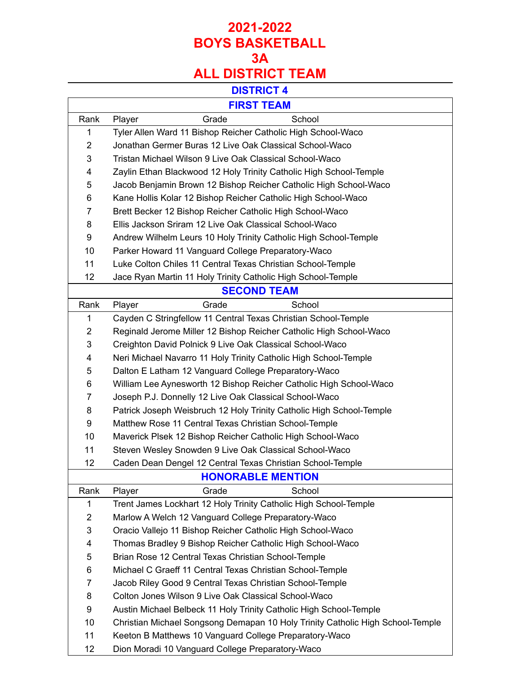## **DISTRICT 4**

| -<br>m.<br>ו כ<br><b>IN</b> | –<br>$\sim$ | и<br>п |
|-----------------------------|-------------|--------|
|                             | . .         |        |

 $\Gamma$ 

| FIRSI IEAM               |                                                                                |  |  |
|--------------------------|--------------------------------------------------------------------------------|--|--|
| Rank                     | Grade<br>School<br>Player                                                      |  |  |
| 1                        | Tyler Allen Ward 11 Bishop Reicher Catholic High School-Waco                   |  |  |
| $\overline{2}$           | Jonathan Germer Buras 12 Live Oak Classical School-Waco                        |  |  |
| 3                        | Tristan Michael Wilson 9 Live Oak Classical School-Waco                        |  |  |
| 4                        | Zaylin Ethan Blackwood 12 Holy Trinity Catholic High School-Temple             |  |  |
| 5                        | Jacob Benjamin Brown 12 Bishop Reicher Catholic High School-Waco               |  |  |
| 6                        | Kane Hollis Kolar 12 Bishop Reicher Catholic High School-Waco                  |  |  |
| 7                        | Brett Becker 12 Bishop Reicher Catholic High School-Waco                       |  |  |
| 8                        | Ellis Jackson Sriram 12 Live Oak Classical School-Waco                         |  |  |
| 9                        | Andrew Wilhelm Leurs 10 Holy Trinity Catholic High School-Temple               |  |  |
| 10                       | Parker Howard 11 Vanguard College Preparatory-Waco                             |  |  |
| 11                       | Luke Colton Chiles 11 Central Texas Christian School-Temple                    |  |  |
| 12                       | Jace Ryan Martin 11 Holy Trinity Catholic High School-Temple                   |  |  |
| <b>SECOND TEAM</b>       |                                                                                |  |  |
| Rank                     | Grade<br>School<br>Player                                                      |  |  |
| 1                        | Cayden C Stringfellow 11 Central Texas Christian School-Temple                 |  |  |
| $\overline{c}$           | Reginald Jerome Miller 12 Bishop Reicher Catholic High School-Waco             |  |  |
| 3                        | Creighton David Polnick 9 Live Oak Classical School-Waco                       |  |  |
| 4                        | Neri Michael Navarro 11 Holy Trinity Catholic High School-Temple               |  |  |
| 5                        | Dalton E Latham 12 Vanguard College Preparatory-Waco                           |  |  |
| 6                        | William Lee Aynesworth 12 Bishop Reicher Catholic High School-Waco             |  |  |
| $\overline{7}$           | Joseph P.J. Donnelly 12 Live Oak Classical School-Waco                         |  |  |
| 8                        | Patrick Joseph Weisbruch 12 Holy Trinity Catholic High School-Temple           |  |  |
| 9                        | Matthew Rose 11 Central Texas Christian School-Temple                          |  |  |
| 10                       | Maverick Plsek 12 Bishop Reicher Catholic High School-Waco                     |  |  |
| 11                       | Steven Wesley Snowden 9 Live Oak Classical School-Waco                         |  |  |
| 12                       | Caden Dean Dengel 12 Central Texas Christian School-Temple                     |  |  |
| <b>HONORABLE MENTION</b> |                                                                                |  |  |
| Rank                     | Grade<br>School<br>Player                                                      |  |  |
| 1                        | Trent James Lockhart 12 Holy Trinity Catholic High School-Temple               |  |  |
| $\overline{2}$           | Marlow A Welch 12 Vanguard College Preparatory-Waco                            |  |  |
| 3                        | Oracio Vallejo 11 Bishop Reicher Catholic High School-Waco                     |  |  |
| 4                        | Thomas Bradley 9 Bishop Reicher Catholic High School-Waco                      |  |  |
| 5                        | Brian Rose 12 Central Texas Christian School-Temple                            |  |  |
| 6                        | Michael C Graeff 11 Central Texas Christian School-Temple                      |  |  |
| 7                        | Jacob Riley Good 9 Central Texas Christian School-Temple                       |  |  |
| 8                        | Colton Jones Wilson 9 Live Oak Classical School-Waco                           |  |  |
| 9                        | Austin Michael Belbeck 11 Holy Trinity Catholic High School-Temple             |  |  |
| 10                       | Christian Michael Songsong Demapan 10 Holy Trinity Catholic High School-Temple |  |  |
| 11                       | Keeton B Matthews 10 Vanguard College Preparatory-Waco                         |  |  |
| 12                       | Dion Moradi 10 Vanguard College Preparatory-Waco                               |  |  |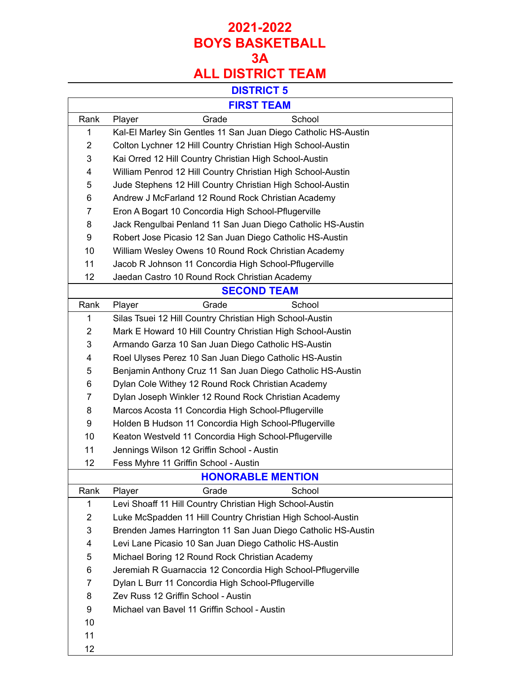## **DISTRICT 5**

T.

|        | М |
|--------|---|
| $\sim$ |   |
|        |   |
| 10 ه   | - |

 $\Gamma$ 

| <b>FIRST TEAM</b>        |                                                                |  |  |
|--------------------------|----------------------------------------------------------------|--|--|
| Rank                     | Grade<br>School<br>Player                                      |  |  |
| 1                        | Kal-El Marley Sin Gentles 11 San Juan Diego Catholic HS-Austin |  |  |
| $\overline{2}$           | Colton Lychner 12 Hill Country Christian High School-Austin    |  |  |
| 3                        | Kai Orred 12 Hill Country Christian High School-Austin         |  |  |
| 4                        | William Penrod 12 Hill Country Christian High School-Austin    |  |  |
| 5                        | Jude Stephens 12 Hill Country Christian High School-Austin     |  |  |
| 6                        | Andrew J McFarland 12 Round Rock Christian Academy             |  |  |
| $\overline{7}$           | Eron A Bogart 10 Concordia High School-Pflugerville            |  |  |
| 8                        | Jack Rengulbai Penland 11 San Juan Diego Catholic HS-Austin    |  |  |
| 9                        | Robert Jose Picasio 12 San Juan Diego Catholic HS-Austin       |  |  |
| 10                       | William Wesley Owens 10 Round Rock Christian Academy           |  |  |
| 11                       | Jacob R Johnson 11 Concordia High School-Pflugerville          |  |  |
| 12                       | Jaedan Castro 10 Round Rock Christian Academy                  |  |  |
|                          | <b>SECOND TEAM</b>                                             |  |  |
| Rank                     | Grade<br>School<br>Player                                      |  |  |
| $\mathbf 1$              | Silas Tsuei 12 Hill Country Christian High School-Austin       |  |  |
| $\overline{2}$           | Mark E Howard 10 Hill Country Christian High School-Austin     |  |  |
| 3                        | Armando Garza 10 San Juan Diego Catholic HS-Austin             |  |  |
| 4                        | Roel Ulyses Perez 10 San Juan Diego Catholic HS-Austin         |  |  |
| 5                        | Benjamin Anthony Cruz 11 San Juan Diego Catholic HS-Austin     |  |  |
| 6                        | Dylan Cole Withey 12 Round Rock Christian Academy              |  |  |
| $\overline{7}$           | Dylan Joseph Winkler 12 Round Rock Christian Academy           |  |  |
| 8                        | Marcos Acosta 11 Concordia High School-Pflugerville            |  |  |
| 9                        | Holden B Hudson 11 Concordia High School-Pflugerville          |  |  |
| 10                       | Keaton Westveld 11 Concordia High School-Pflugerville          |  |  |
| 11                       | Jennings Wilson 12 Griffin School - Austin                     |  |  |
| 12                       | Fess Myhre 11 Griffin School - Austin                          |  |  |
| <b>HONORABLE MENTION</b> |                                                                |  |  |
| Rank                     | Grade<br>School<br>Player                                      |  |  |
| 1                        | Levi Shoaff 11 Hill Country Christian High School-Austin       |  |  |
| $\overline{2}$           | Luke McSpadden 11 Hill Country Christian High School-Austin    |  |  |
| 3                        | Brenden James Harrington 11 San Juan Diego Catholic HS-Austin  |  |  |
| 4                        | Levi Lane Picasio 10 San Juan Diego Catholic HS-Austin         |  |  |
| 5                        | Michael Boring 12 Round Rock Christian Academy                 |  |  |
| 6                        | Jeremiah R Guarnaccia 12 Concordia High School-Pflugerville    |  |  |
| $\overline{7}$           | Dylan L Burr 11 Concordia High School-Pflugerville             |  |  |
| 8                        | Zev Russ 12 Griffin School - Austin                            |  |  |
| 9                        | Michael van Bavel 11 Griffin School - Austin                   |  |  |
| 10                       |                                                                |  |  |
| 11                       |                                                                |  |  |
| 12                       |                                                                |  |  |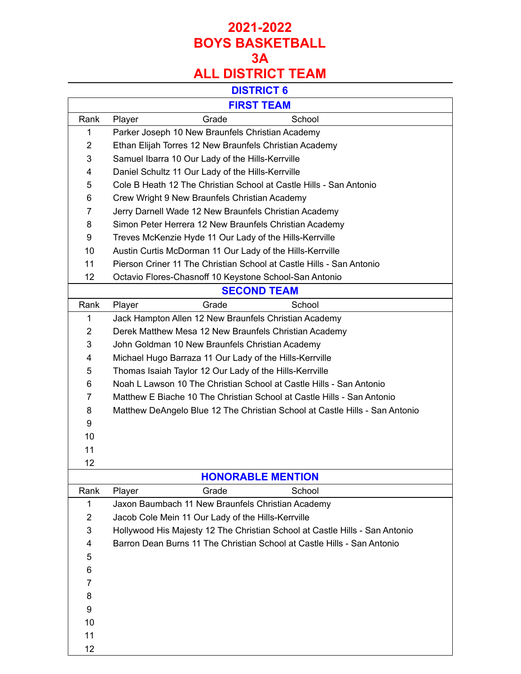#### **DISTRICT 6**

Ē,

| М |
|---|
|   |
|   |

 $\Gamma$ 

|                | FIRSI I LAM                                                                 |  |  |
|----------------|-----------------------------------------------------------------------------|--|--|
| Rank           | Grade<br>School<br>Player                                                   |  |  |
| 1              | Parker Joseph 10 New Braunfels Christian Academy                            |  |  |
| 2              | Ethan Elijah Torres 12 New Braunfels Christian Academy                      |  |  |
| 3              | Samuel Ibarra 10 Our Lady of the Hills-Kerrville                            |  |  |
| 4              | Daniel Schultz 11 Our Lady of the Hills-Kerrville                           |  |  |
| 5              | Cole B Heath 12 The Christian School at Castle Hills - San Antonio          |  |  |
| 6              | Crew Wright 9 New Braunfels Christian Academy                               |  |  |
| 7              | Jerry Darnell Wade 12 New Braunfels Christian Academy                       |  |  |
| 8              | Simon Peter Herrera 12 New Braunfels Christian Academy                      |  |  |
| 9              | Treves McKenzie Hyde 11 Our Lady of the Hills-Kerrville                     |  |  |
| 10             | Austin Curtis McDorman 11 Our Lady of the Hills-Kerrville                   |  |  |
| 11             | Pierson Criner 11 The Christian School at Castle Hills - San Antonio        |  |  |
| 12             | Octavio Flores-Chasnoff 10 Keystone School-San Antonio                      |  |  |
|                | <b>SECOND TEAM</b>                                                          |  |  |
| Rank           | School<br>Grade<br>Player                                                   |  |  |
| 1              | Jack Hampton Allen 12 New Braunfels Christian Academy                       |  |  |
| 2              | Derek Matthew Mesa 12 New Braunfels Christian Academy                       |  |  |
| 3              | John Goldman 10 New Braunfels Christian Academy                             |  |  |
| 4              | Michael Hugo Barraza 11 Our Lady of the Hills-Kerrville                     |  |  |
| 5              | Thomas Isaiah Taylor 12 Our Lady of the Hills-Kerrville                     |  |  |
| 6              | Noah L Lawson 10 The Christian School at Castle Hills - San Antonio         |  |  |
| 7              | Matthew E Biache 10 The Christian School at Castle Hills - San Antonio      |  |  |
| 8              | Matthew DeAngelo Blue 12 The Christian School at Castle Hills - San Antonio |  |  |
| 9              |                                                                             |  |  |
| 10             |                                                                             |  |  |
| 11             |                                                                             |  |  |
| 12             |                                                                             |  |  |
|                | <b>HONORABLE MENTION</b>                                                    |  |  |
| Rank           | Grade<br>School<br>Player                                                   |  |  |
| 1              | Jaxon Baumbach 11 New Braunfels Christian Academy                           |  |  |
| $\overline{2}$ | Jacob Cole Mein 11 Our Lady of the Hills-Kerrville                          |  |  |
| 3              | Hollywood His Majesty 12 The Christian School at Castle Hills - San Antonio |  |  |
| 4              | Barron Dean Burns 11 The Christian School at Castle Hills - San Antonio     |  |  |
| 5              |                                                                             |  |  |
| 6              |                                                                             |  |  |
| 7              |                                                                             |  |  |
| 8              |                                                                             |  |  |
| 9              |                                                                             |  |  |
| 10             |                                                                             |  |  |
| 11             |                                                                             |  |  |
| 12             |                                                                             |  |  |